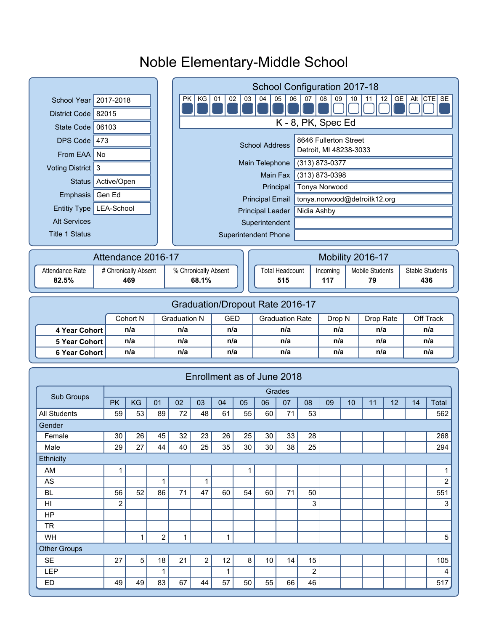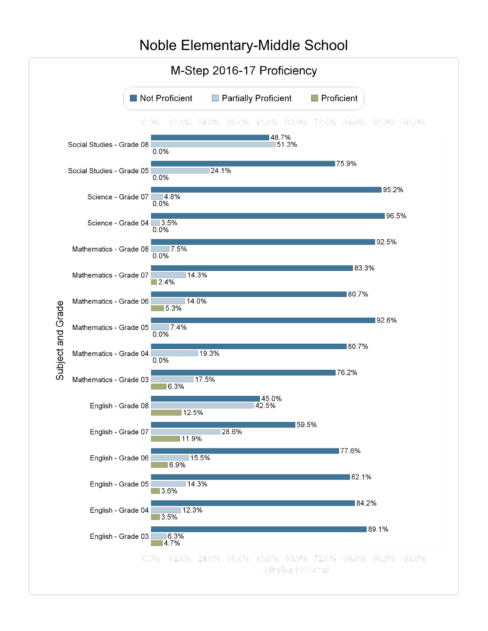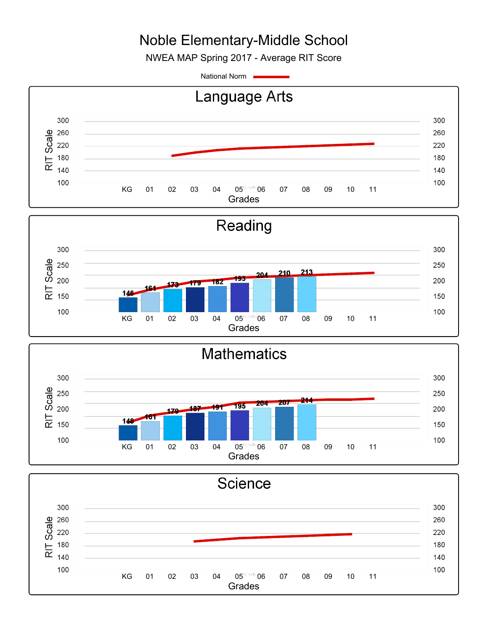NWEA MAP Spring 2017 - Average RIT Score

National Norm